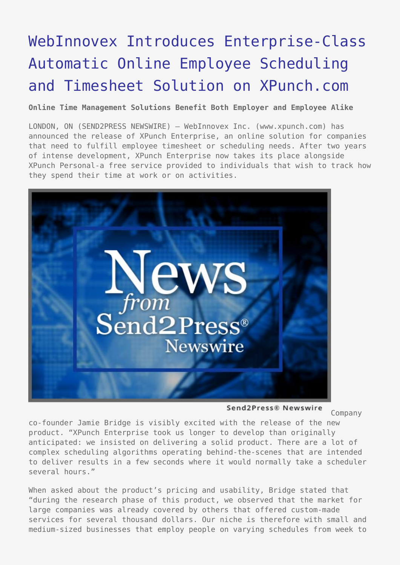## [WebInnovex Introduces Enterprise-Class](https://www.send2press.com/wire/2006-01-0119-004/) [Automatic Online Employee Scheduling](https://www.send2press.com/wire/2006-01-0119-004/) [and Timesheet Solution on XPunch.com](https://www.send2press.com/wire/2006-01-0119-004/)

**Online Time Management Solutions Benefit Both Employer and Employee Alike**

LONDON, ON (SEND2PRESS NEWSWIRE) — WebInnovex Inc. (www.xpunch.com) has announced the release of XPunch Enterprise, an online solution for companies that need to fulfill employee timesheet or scheduling needs. After two years of intense development, XPunch Enterprise now takes its place alongside XPunch Personal-a free service provided to individuals that wish to track how they spend their time at work or on activities.



Send2Press® Newswire

Company

co-founder Jamie Bridge is visibly excited with the release of the new product. "XPunch Enterprise took us longer to develop than originally anticipated: we insisted on delivering a solid product. There are a lot of complex scheduling algorithms operating behind-the-scenes that are intended to deliver results in a few seconds where it would normally take a scheduler several hours."

When asked about the product's pricing and usability, Bridge stated that "during the research phase of this product, we observed that the market for large companies was already covered by others that offered custom-made services for several thousand dollars. Our niche is therefore with small and medium-sized businesses that employ people on varying schedules from week to